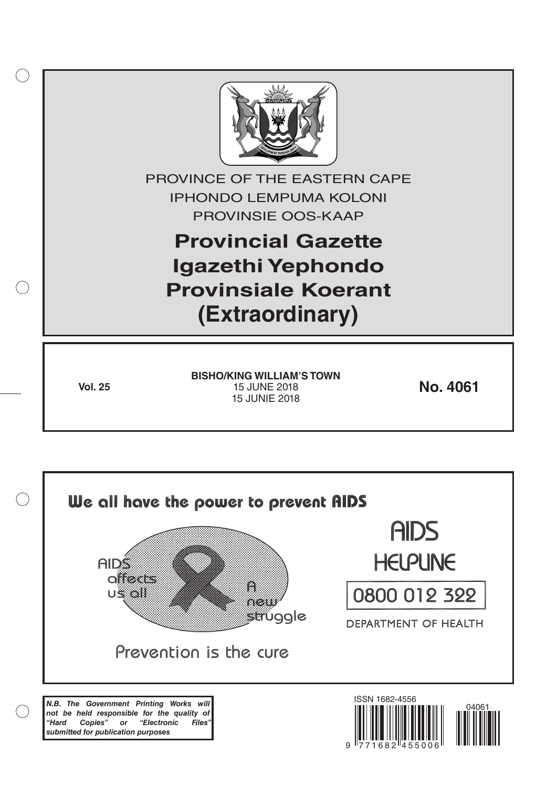

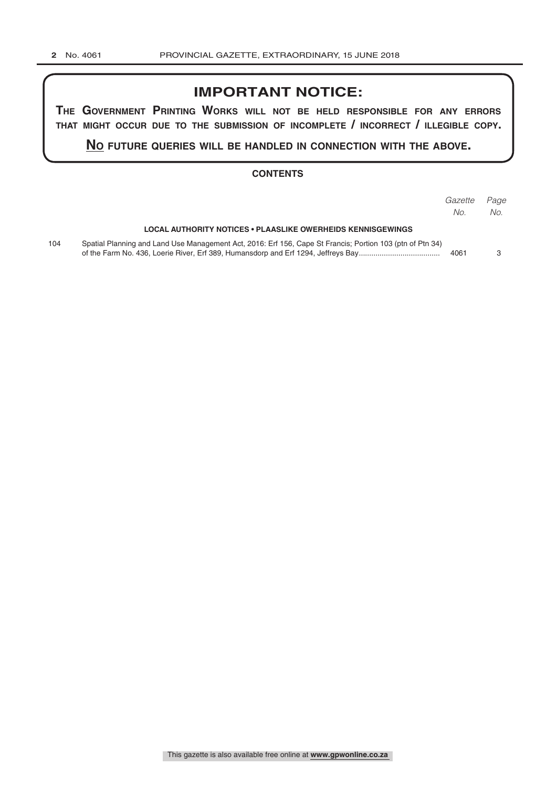# **IMPORTANT NOTICE:**

**The GovernmenT PrinTinG Works Will noT be held resPonsible for any errors ThaT miGhT occur due To The submission of incomPleTe / incorrecT / illeGible coPy.**

**no fuTure queries Will be handled in connecTion WiTh The above.**

#### **CONTENTS**

|     |                                                                                                           | Gazette<br>No. | Page<br>No. |
|-----|-----------------------------------------------------------------------------------------------------------|----------------|-------------|
|     | LOCAL AUTHORITY NOTICES • PLAASLIKE OWERHEIDS KENNISGEWINGS                                               |                |             |
| 104 | Spatial Planning and Land Use Management Act, 2016: Erf 156, Cape St Francis; Portion 103 (ptn of Ptn 34) | 4061           |             |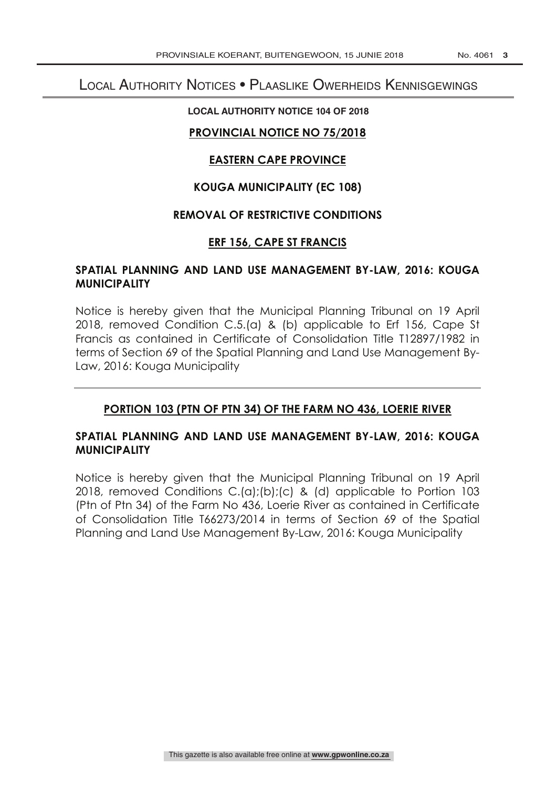## Local Authority Notices • Plaaslike Owerheids Kennisgewings

#### **LOCAL AUTHORITY NOTICE 104 OF 2018**

#### **PROVINCIAL NOTICE NO 75/2018**

#### **EASTERN CAPE PROVINCE**

#### **KOUGA MUNICIPALITY (EC 108)**

#### **REMOVAL OF RESTRICTIVE CONDITIONS**

#### **ERF 156, CAPE ST FRANCIS**

#### **SPATIAL PLANNING AND LAND USE MANAGEMENT BY-LAW, 2016: KOUGA MUNICIPALITY**

Notice is hereby given that the Municipal Planning Tribunal on 19 April 2018, removed Condition C.5.(a) & (b) applicable to Erf 156, Cape St Francis as contained in Certificate of Consolidation Title T12897/1982 in terms of Section 69 of the Spatial Planning and Land Use Management By-Law, 2016: Kouga Municipality

## **PORTION 103 (PTN OF PTN 34) OF THE FARM NO 436, LOERIE RIVER**

#### **SPATIAL PLANNING AND LAND USE MANAGEMENT BY-LAW, 2016: KOUGA MUNICIPALITY**

Notice is hereby given that the Municipal Planning Tribunal on 19 April 2018, removed Conditions C.(a);(b);(c) & (d) applicable to Portion 103 (Ptn of Ptn 34) of the Farm No 436, Loerie River as contained in Certificate of Consolidation Title T66273/2014 in terms of Section 69 of the Spatial Planning and Land Use Management By-Law, 2016: Kouga Municipality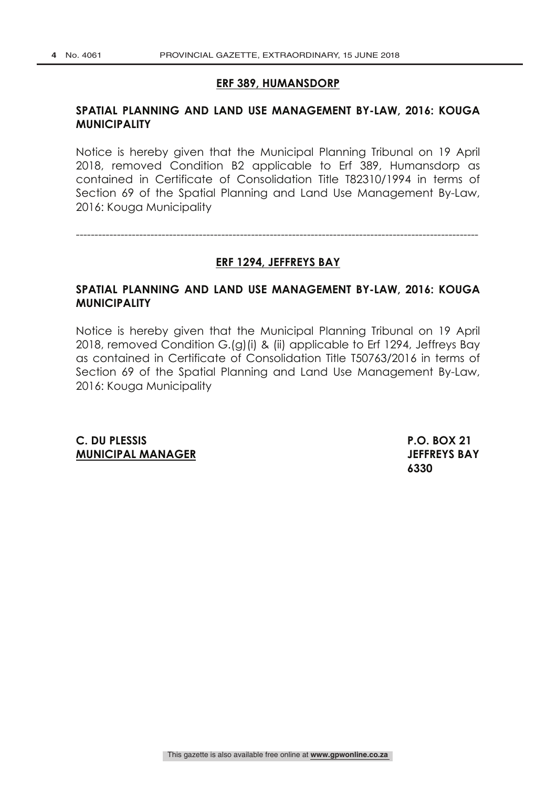#### **ERF 389, HUMANSDORP**

#### **SPATIAL PLANNING AND LAND USE MANAGEMENT BY-LAW, 2016: KOUGA MUNICIPALITY**

Notice is hereby given that the Municipal Planning Tribunal on 19 April 2018, removed Condition B2 applicable to Erf 389, Humansdorp as contained in Certificate of Consolidation Title T82310/1994 in terms of Section 69 of the Spatial Planning and Land Use Management By-Law, 2016: Kouga Municipality

------------------------------------------------------------------------------------------------------------

## **ERF 1294, JEFFREYS BAY**

#### **SPATIAL PLANNING AND LAND USE MANAGEMENT BY-LAW, 2016: KOUGA MUNICIPALITY**

Notice is hereby given that the Municipal Planning Tribunal on 19 April 2018, removed Condition G.(g)(i) & (ii) applicable to Erf 1294, Jeffreys Bay as contained in Certificate of Consolidation Title T50763/2016 in terms of Section 69 of the Spatial Planning and Land Use Management By-Law, 2016: Kouga Municipality

**C. DU PLESSIS P.O. BOX 21 MUNICIPAL MANAGER JEFFREYS BAY**

 **6330**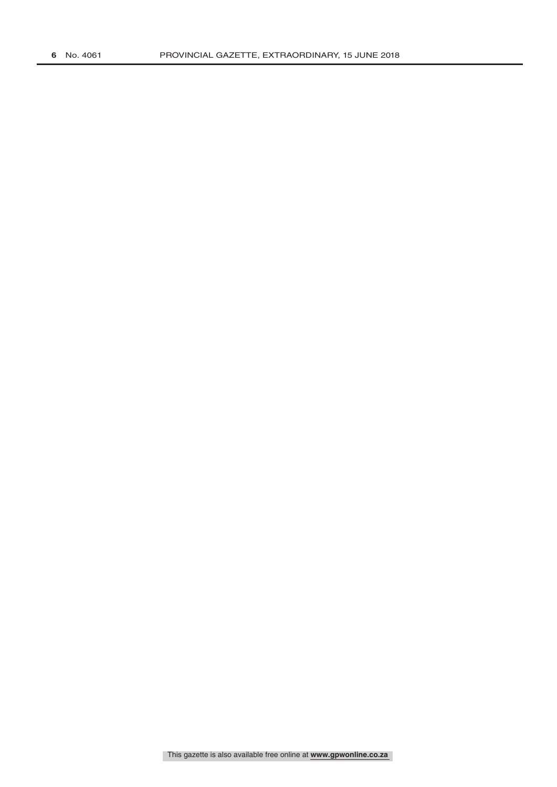This gazette is also available free online at **www.gpwonline.co.za**